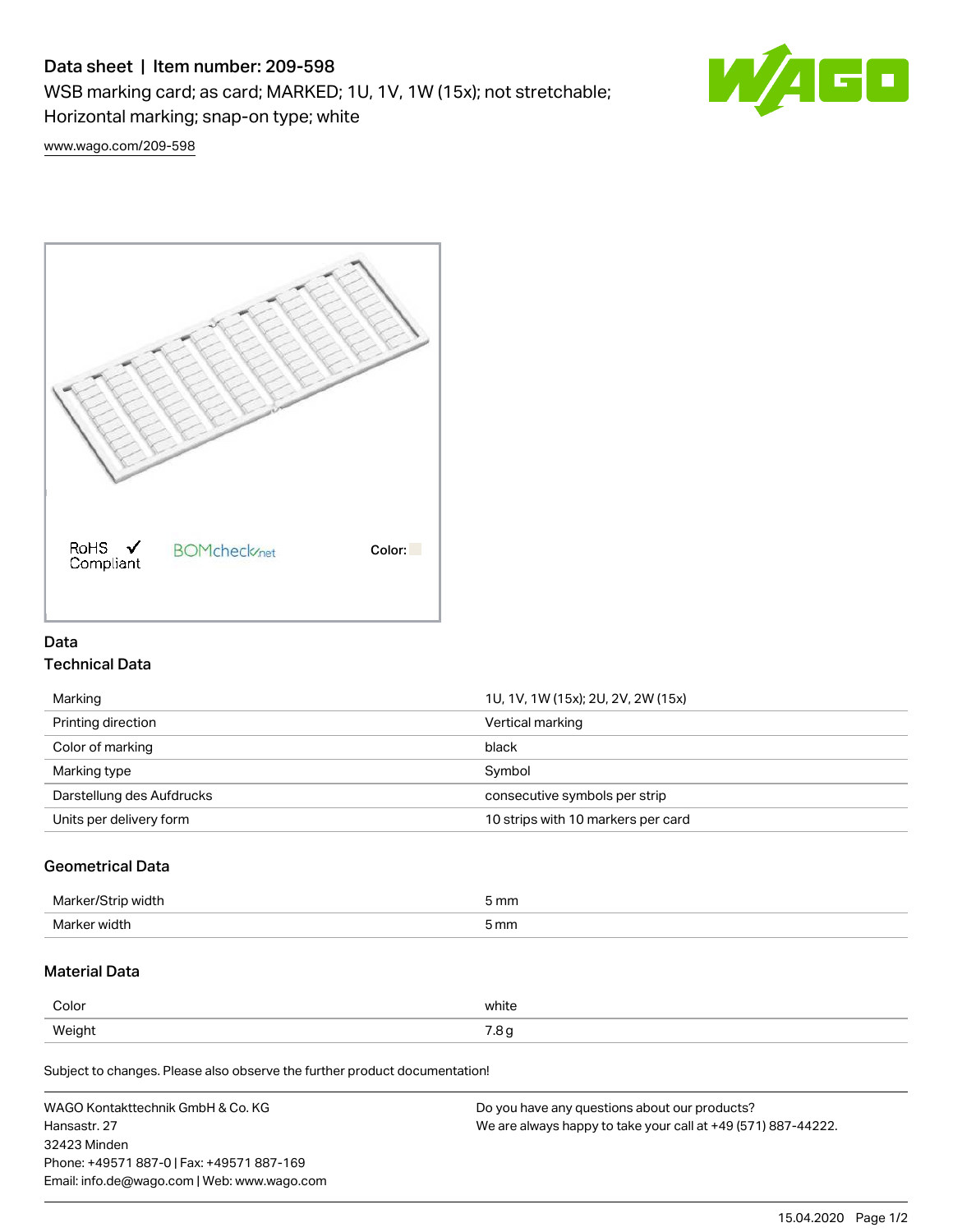# Data sheet | Item number: 209-598

WSB marking card; as card; MARKED; 1U, 1V, 1W (15x); not stretchable;

Horizontal marking; snap-on type; white

**AGO** W

[www.wago.com/209-598](http://www.wago.com/209-598)



### Data Technical Data

| Marking                   | 1U, 1V, 1W (15x); 2U, 2V, 2W (15x) |
|---------------------------|------------------------------------|
| Printing direction        | Vertical marking                   |
| Color of marking          | black                              |
| Marking type              | Symbol                             |
| Darstellung des Aufdrucks | consecutive symbols per strip      |
| Units per delivery form   | 10 strips with 10 markers per card |
|                           |                                    |

# Geometrical Data

| Marker<br>ı width | 5 mm |
|-------------------|------|
| Marker width      | 5 mm |

## Material Data

| Color  | white               |
|--------|---------------------|
| Weight | $ -$<br>ن. ،<br>ل - |

Subject to changes. Please also observe the further product documentation!

| WAGO Kontakttechnik GmbH & Co. KG           | Do you have any questions about our products?                 |
|---------------------------------------------|---------------------------------------------------------------|
| Hansastr. 27                                | We are always happy to take your call at +49 (571) 887-44222. |
| 32423 Minden                                |                                                               |
| Phone: +49571 887-0   Fax: +49571 887-169   |                                                               |
| Email: info.de@wago.com   Web: www.wago.com |                                                               |